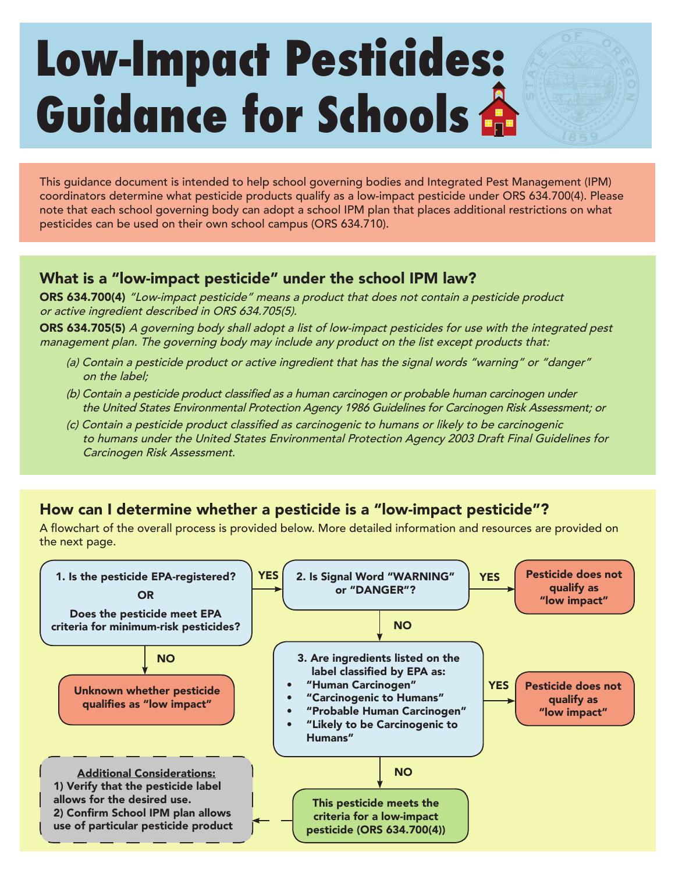# **Low-Impact Pesticides: Guidance for Schools**

This guidance document is intended to help school governing bodies and Integrated Pest Management (IPM) coordinators determine what pesticide products qualify as a low-impact pesticide under ORS 634.700(4). Please note that each school governing body can adopt a school IPM plan that places additional restrictions on what pesticides can be used on their own school campus (ORS 634.710).

# What is a "low-impact pesticide" under the school IPM law?

ORS 634.700(4) "Low-impact pesticide" means a product that does not contain a pesticide product or active ingredient described in ORS 634.705(5).

ORS 634.705(5) A governing body shall adopt a list of low-impact pesticides for use with the integrated pest management plan. The governing body may include any product on the list except products that:

- (a) Contain a pesticide product or active ingredient that has the signal words "warning" or "danger" on the label;
- (b) Contain a pesticide product classified as a human carcinogen or probable human carcinogen under the United States Environmental Protection Agency 1986 Guidelines for Carcinogen Risk Assessment; or
- (c) Contain a pesticide product classified as carcinogenic to humans or likely to be carcinogenic to humans under the United States Environmental Protection Agency 2003 Draft Final Guidelines for Carcinogen Risk Assessment.

# How can I determine whether a pesticide is a "low-impact pesticide"?

A flowchart of the overall process is provided below. More detailed information and resources are provided on the next page.